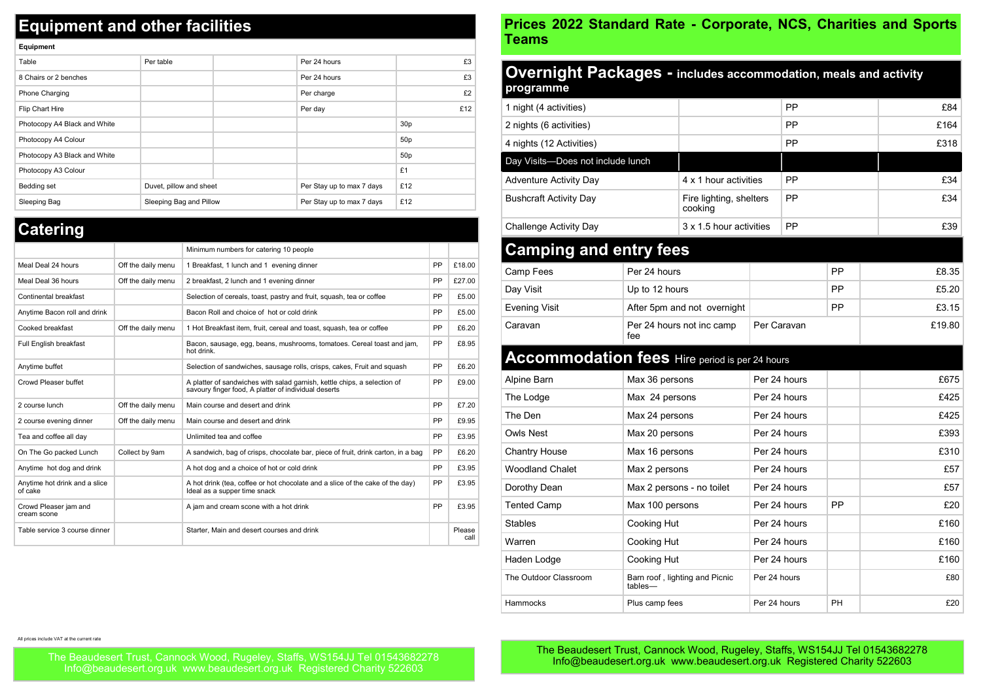## **Equipment and other facilities**

| Equipment                    |                         |                           |                 |
|------------------------------|-------------------------|---------------------------|-----------------|
| Table                        | Per table               | Per 24 hours              | £3              |
| 8 Chairs or 2 benches        |                         | Per 24 hours              | £3              |
| Phone Charging               |                         | Per charge                | £2              |
| Flip Chart Hire              |                         | Per day                   | £12             |
| Photocopy A4 Black and White |                         |                           | 30 <sub>p</sub> |
| Photocopy A4 Colour          |                         |                           | 50 <sub>p</sub> |
| Photocopy A3 Black and White |                         |                           | 50 <sub>p</sub> |
| Photocopy A3 Colour          |                         |                           | £1              |
| Bedding set                  | Duvet, pillow and sheet | Per Stay up to max 7 days | £12             |
| Sleeping Bag                 | Sleeping Bag and Pillow | Per Stay up to max 7 days | £12             |

## **Catering**

**Equipment** 

|                                          |                    | Minimum numbers for catering 10 people                                                                                           |           |                |
|------------------------------------------|--------------------|----------------------------------------------------------------------------------------------------------------------------------|-----------|----------------|
| Meal Deal 24 hours                       | Off the daily menu | 1 Breakfast, 1 lunch and 1 evening dinner                                                                                        | PP        | £18.00         |
| Meal Deal 36 hours                       | Off the daily menu | 2 breakfast, 2 lunch and 1 evening dinner                                                                                        | PP        | £27.00         |
| Continental breakfast                    |                    | Selection of cereals, toast, pastry and fruit, squash, tea or coffee                                                             | PP        | £5.00          |
| Anytime Bacon roll and drink             |                    | Bacon Roll and choice of hot or cold drink                                                                                       | PP        | £5.00          |
| Cooked breakfast                         | Off the daily menu | 1 Hot Breakfast item, fruit, cereal and toast, squash, tea or coffee                                                             | PP        | £6.20          |
| Full English breakfast                   |                    | Bacon, sausage, egg, beans, mushrooms, tomatoes. Cereal toast and jam,<br>hot drink.                                             | PP        | £8.95          |
| Anytime buffet                           |                    | Selection of sandwiches, sausage rolls, crisps, cakes, Fruit and squash                                                          | PP        | £6.20          |
| Crowd Pleaser buffet                     |                    | A platter of sandwiches with salad garnish, kettle chips, a selection of<br>savoury finger food, A platter of individual deserts | PP        | £9.00          |
| 2 course lunch                           | Off the daily menu | Main course and desert and drink                                                                                                 | PP        | £7.20          |
| 2 course evening dinner                  | Off the daily menu | Main course and desert and drink                                                                                                 | PP        | £9.95          |
| Tea and coffee all day                   |                    | Unlimited tea and coffee                                                                                                         | PP        | £3.95          |
| On The Go packed Lunch                   | Collect by 9am     | A sandwich, bag of crisps, chocolate bar, piece of fruit, drink carton, in a bag                                                 | <b>PP</b> | £6.20          |
| Anytime hot dog and drink                |                    | A hot dog and a choice of hot or cold drink                                                                                      | PP        | £3.95          |
| Anytime hot drink and a slice<br>of cake |                    | A hot drink (tea, coffee or hot chocolate and a slice of the cake of the day)<br>Ideal as a supper time snack                    | PP        | £3.95          |
| Crowd Pleaser jam and<br>cream scone     |                    | A jam and cream scone with a hot drink                                                                                           | PP        | £3.95          |
| Table service 3 course dinner            |                    | Starter, Main and desert courses and drink                                                                                       |           | Please<br>call |
|                                          |                    |                                                                                                                                  |           |                |

## **Prices 2022 Standard Rate - Corporate, NCS, Charities and Sports Teams**

| Overnight Packages - includes accommodation, meals and activity<br>programme |                 |                                    |              |              |           |        |
|------------------------------------------------------------------------------|-----------------|------------------------------------|--------------|--------------|-----------|--------|
| 1 night (4 activities)                                                       |                 |                                    |              | PP           |           | £84    |
| 2 nights (6 activities)                                                      |                 |                                    |              | PP           |           | £164   |
| 4 nights (12 Activities)                                                     |                 |                                    |              | PP           |           | £318   |
| Day Visits-Does not include lunch                                            |                 |                                    |              |              |           |        |
| <b>Adventure Activity Day</b>                                                |                 | 4 x 1 hour activities              |              | PP           |           | £34    |
| <b>Bushcraft Activity Day</b>                                                |                 | Fire lighting, shelters<br>cooking |              | PP           |           | £34    |
| <b>Challenge Activity Day</b>                                                |                 | 3 x 1.5 hour activities            |              | PP           |           | £39    |
| <b>Camping and entry fees</b>                                                |                 |                                    |              |              |           |        |
| Camp Fees                                                                    | Per 24 hours    |                                    |              |              | <b>PP</b> | £8.35  |
| Day Visit                                                                    | Up to 12 hours  |                                    |              |              | PP        | £5.20  |
| Evening Visit                                                                |                 | After 5pm and not overnight        |              |              | <b>PP</b> | £3.15  |
| Caravan                                                                      | fee             | Per 24 hours not inc camp          | Per Caravan  |              |           | £19.80 |
| <b>Accommodation fees</b> Hire period is per 24 hours                        |                 |                                    |              |              |           |        |
| Alpine Barn                                                                  | Max 36 persons  |                                    | Per 24 hours |              |           | £675   |
| The Lodge                                                                    | Max 24 persons  |                                    | Per 24 hours |              |           | £425   |
| The Den                                                                      | Max 24 persons  |                                    | Per 24 hours |              |           | £425   |
| Owls Nest                                                                    | Max 20 persons  |                                    | Per 24 hours |              |           | £393   |
| <b>Chantry House</b>                                                         | Max 16 persons  |                                    |              | Per 24 hours |           | £310   |
| <b>Woodland Chalet</b>                                                       | Max 2 persons   |                                    | Per 24 hours |              |           | £57    |
| Dorothy Dean                                                                 |                 | Max 2 persons - no toilet          | Per 24 hours |              |           | £57    |
| <b>Tented Camp</b>                                                           | Max 100 persons |                                    | Per 24 hours |              | <b>PP</b> | £20    |
| <b>Stables</b>                                                               | Cooking Hut     |                                    |              | Per 24 hours |           | £160   |
| Warren                                                                       | Cooking Hut     |                                    |              | Per 24 hours |           | £160   |
| Haden Lodge                                                                  | Cooking Hut     |                                    | Per 24 hours |              |           | £160   |
| The Outdoor Classroom                                                        | tables-         | Barn roof, lighting and Picnic     | Per 24 hours |              |           | £80    |
| Hammocks                                                                     | Plus camp fees  |                                    | Per 24 hours |              | <b>PH</b> | £20    |

All prices include VAT at the current rate

The Beaudesert Trust, Cannock Wood, Rugeley, Staffs, WS154JJ Tel 01543682278 Info@beaudesert.org.uk www.beaudesert.org.uk Registered Charity 522603

The Beaudesert Trust, Cannock Wood, Rugeley, Staffs, WS154JJ Tel 01543682278 Info@beaudesert.org.uk www.beaudesert.org.uk Registered Charity 522603